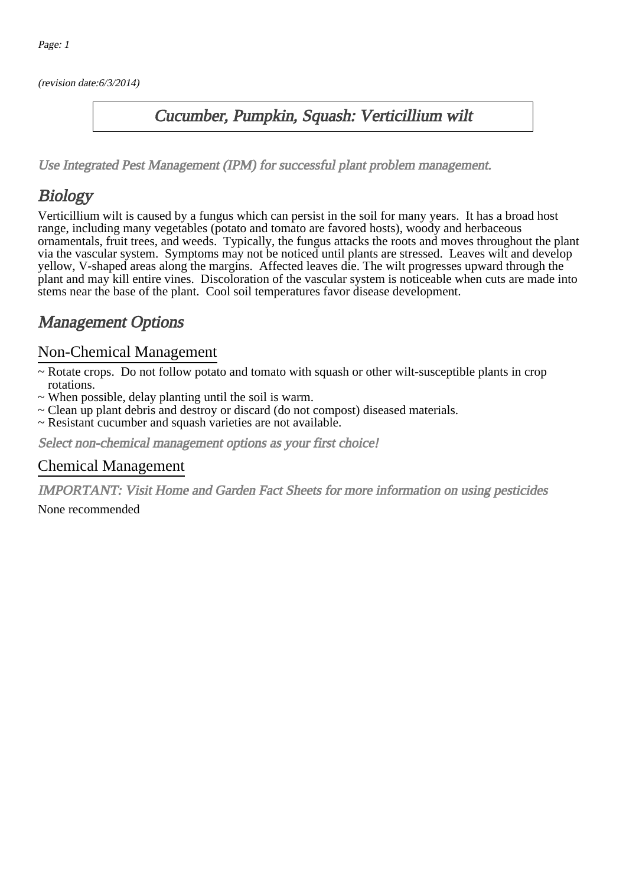(revision date:6/3/2014)

### Cucumber, Pumpkin, Squash: Verticillium wilt

[Use Integrated Pest Management \(IPM\) for successful plant problem management.](http://pep.wsu.edu/Home_Garden/H_G_Pesticide_info/urban_Integrated_Pest_Managmen/)

## **Biology**

Verticillium wilt is caused by a fungus which can persist in the soil for many years. It has a broad host range, including many vegetables (potato and tomato are favored hosts), woody and herbaceous ornamentals, fruit trees, and weeds. Typically, the fungus attacks the roots and moves throughout the plant via the vascular system. Symptoms may not be noticed until plants are stressed. Leaves wilt and develop yellow, V-shaped areas along the margins. Affected leaves die. The wilt progresses upward through the plant and may kill entire vines. Discoloration of the vascular system is noticeable when cuts are made into stems near the base of the plant. Cool soil temperatures favor disease development.

## Management Options

#### Non-Chemical Management

- ~ Rotate crops. Do not follow potato and tomato with squash or other wilt-susceptible plants in crop rotations.
- ~ When possible, delay planting until the soil is warm.
- ~ Clean up plant debris and destroy or discard (do not compost) diseased materials.
- ~ Resistant cucumber and squash varieties are not available.

Select non-chemical management options as your first choice!

#### Chemical Management

IMPORTANT: [Visit Home and Garden Fact Sheets for more information on using pesticides](http://pep.wsu.edu/Home_Garden/H_G_Pesticide_info/)

None recommended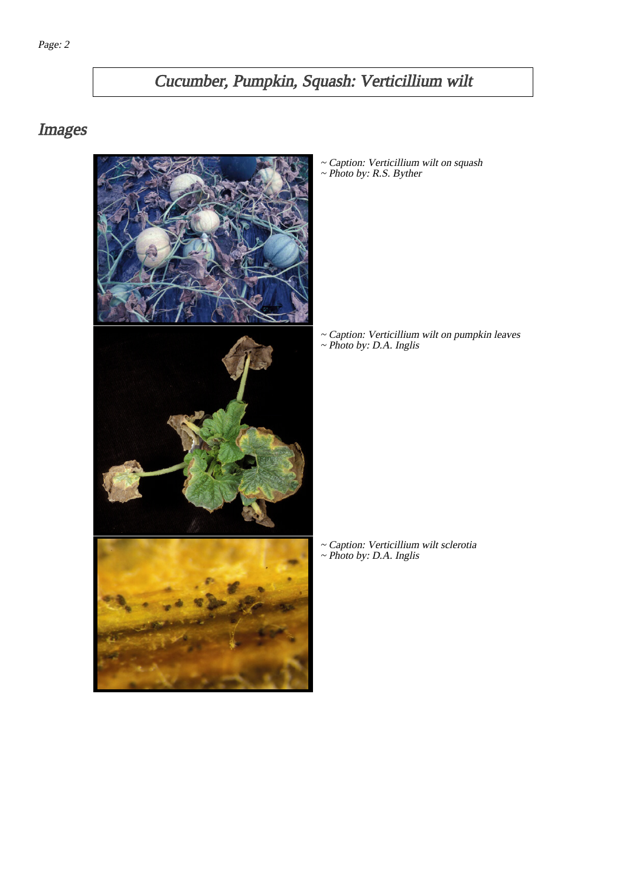# Cucumber, Pumpkin, Squash: Verticillium wilt

## Images



~ Caption: Verticillium wilt on squash ~ Photo by: R.S. Byther

~ Caption: Verticillium wilt on pumpkin leaves ~ Photo by: D.A. Inglis

~ Caption: Verticillium wilt sclerotia ~ Photo by: D.A. Inglis